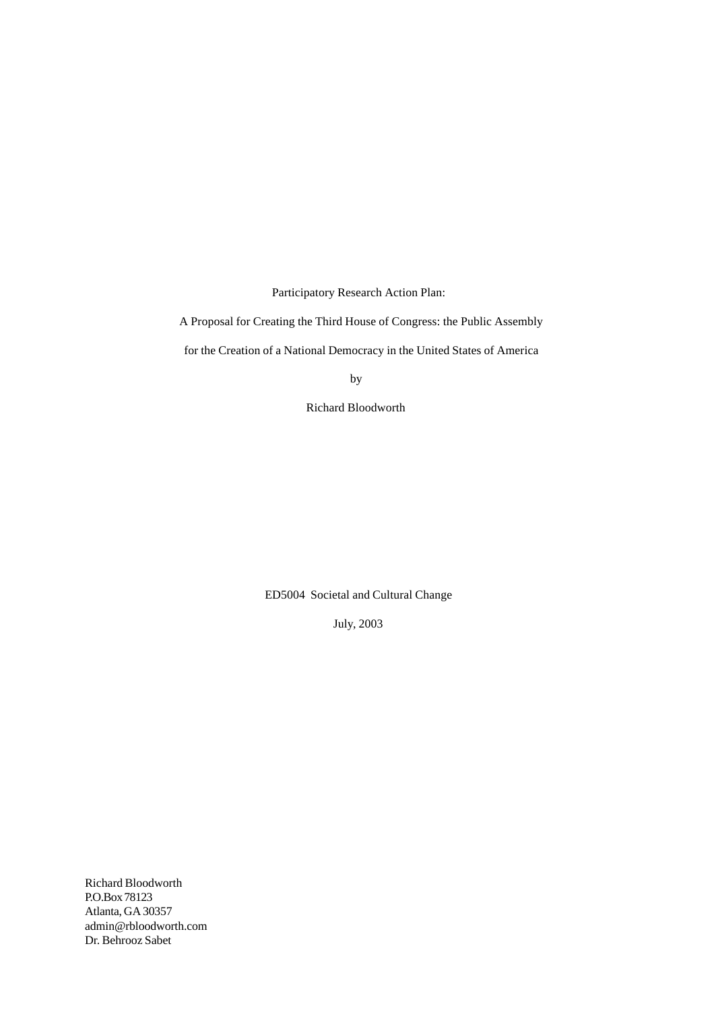Participatory Research Action Plan:

A Proposal for Creating the Third House of Congress: the Public Assembly

for the Creation of a National Democracy in the United States of America

**by** 

Richard Bloodworth

ED5004 Societal and Cultural Change

July, 2003

Richard Bloodworth P.O.Box 78123 Atlanta, GA 30357 admin@rbloodworth.com Dr. Behrooz Sabet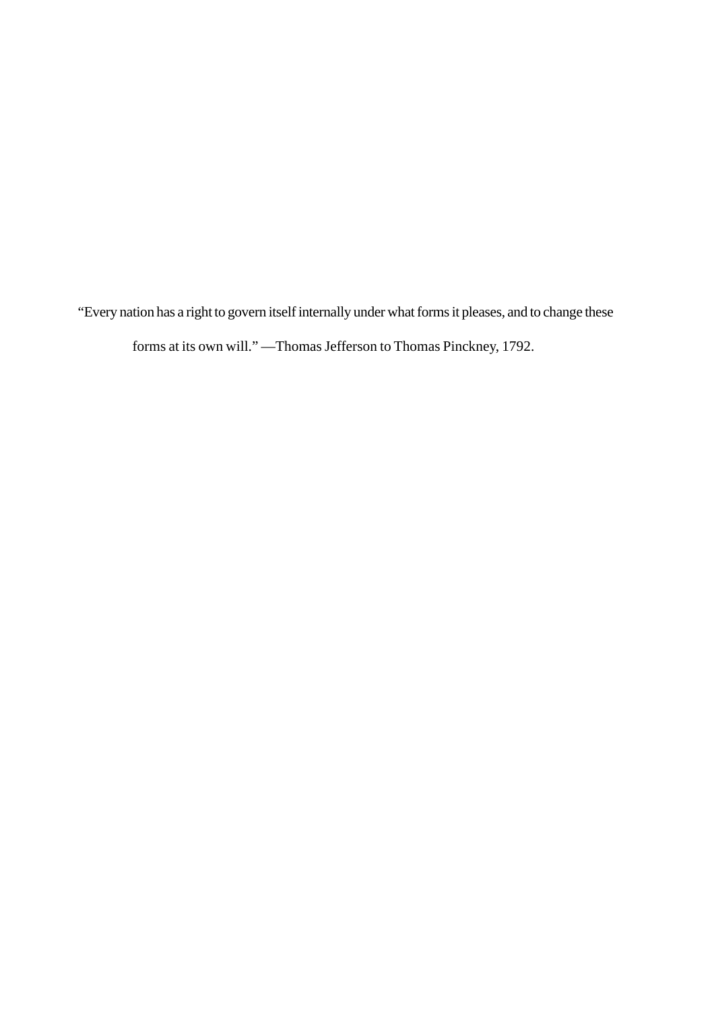"Every nation has a right to govern itself internally under what forms it pleases, and to change these

forms at its own will." —Thomas Jefferson to Thomas Pinckney, 1792.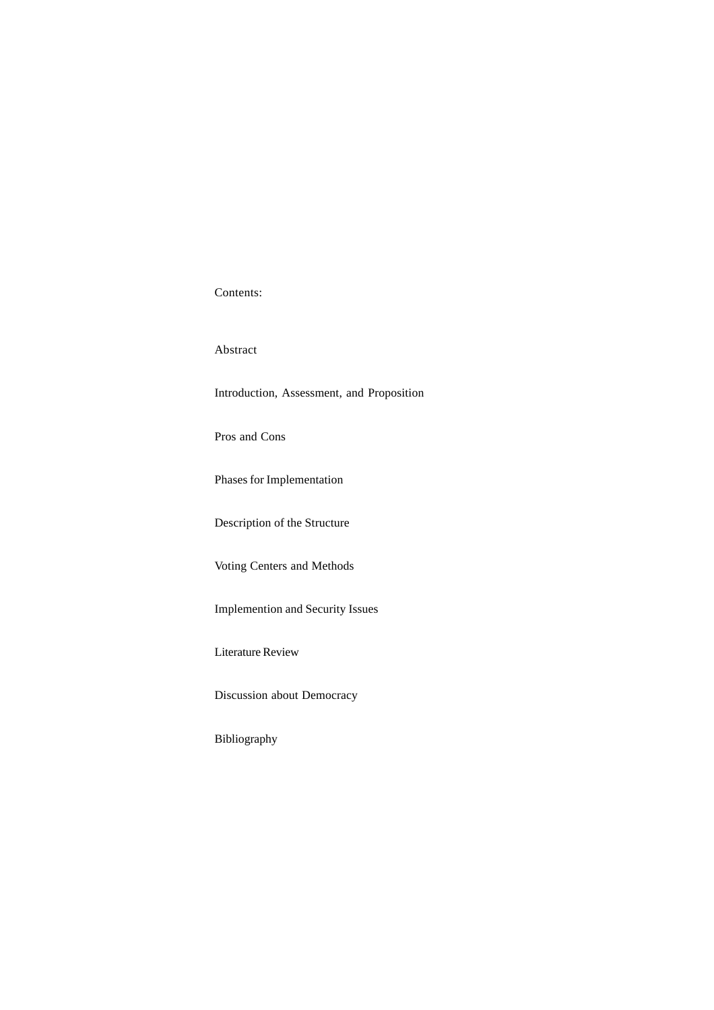Contents:

Abstract

Introduction, Assessment, and Proposition

Pros and Cons

Phases for Implementation

Description of the Structure

Voting Centers and Methods

Implemention and Security Issues

Literature Review

Discussion about Democracy

Bibliography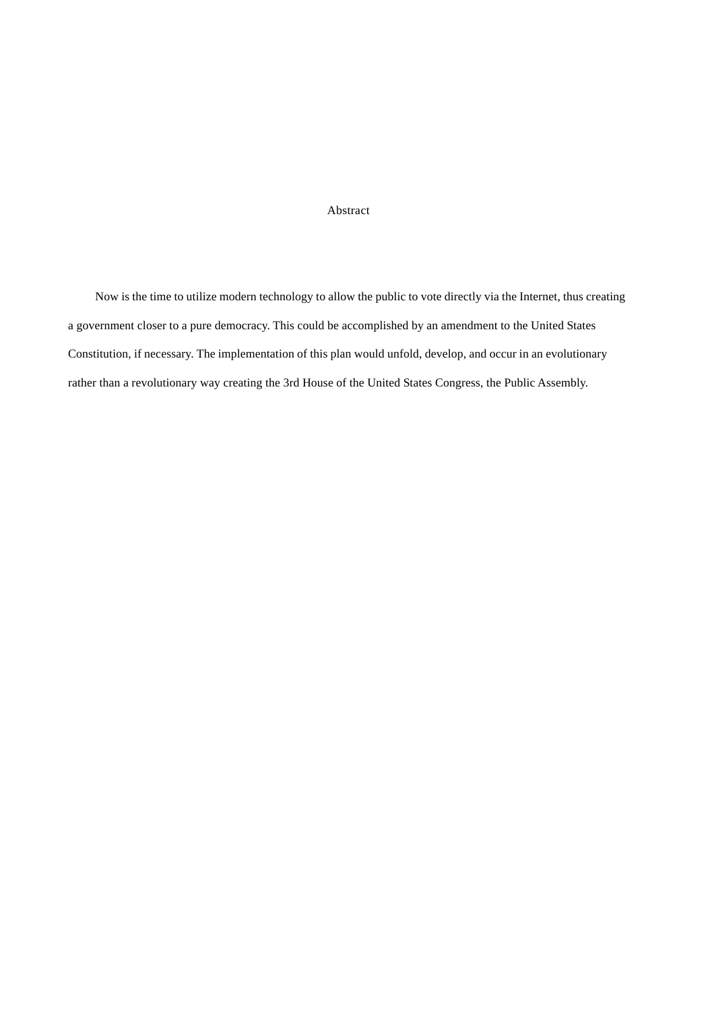# Abstract

 Now is the time to utilize modern technology to allow the public to vote directly via the Internet, thus creating a government closer to a pure democracy. This could be accomplished by an amendment to the United States Constitution, if necessary. The implementation of this plan would unfold, develop, and occur in an evolutionary rather than a revolutionary way creating the 3rd House of the United States Congress, the Public Assembly.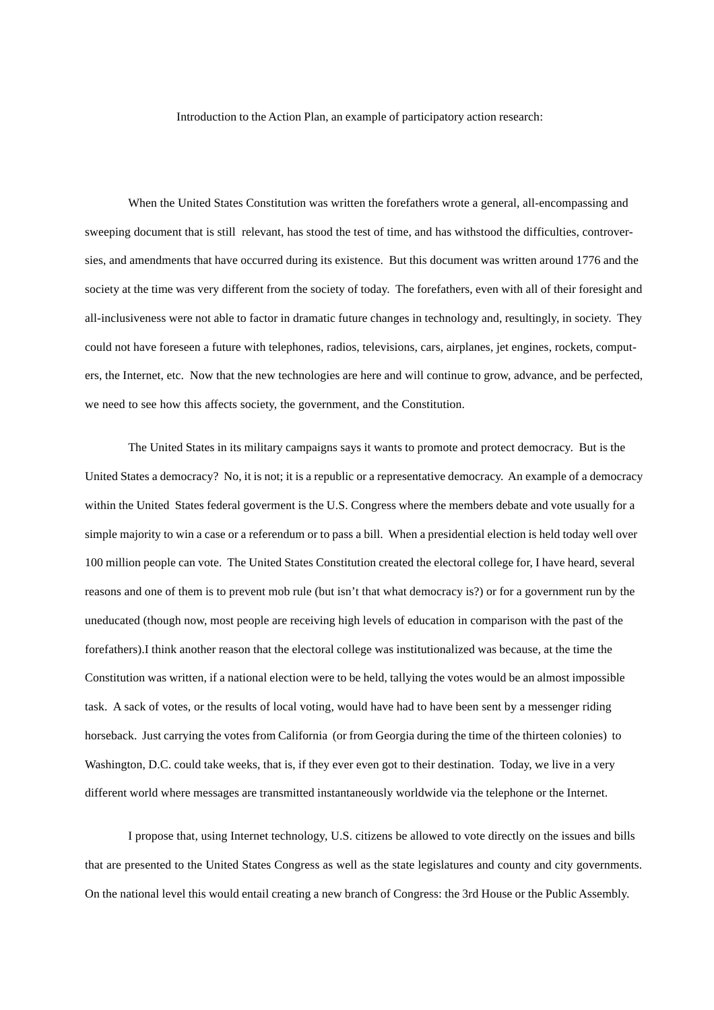Introduction to the Action Plan, an example of participatory action research:

When the United States Constitution was written the forefathers wrote a general, all-encompassing and sweeping document that is still relevant, has stood the test of time, and has withstood the difficulties, controversies, and amendments that have occurred during its existence. But this document was written around 1776 and the society at the time was very different from the society of today. The forefathers, even with all of their foresight and all-inclusiveness were not able to factor in dramatic future changes in technology and, resultingly, in society. They could not have foreseen a future with telephones, radios, televisions, cars, airplanes, jet engines, rockets, computers, the Internet, etc. Now that the new technologies are here and will continue to grow, advance, and be perfected, we need to see how this affects society, the government, and the Constitution.

The United States in its military campaigns says it wants to promote and protect democracy. But is the United States a democracy? No, it is not; it is a republic or a representative democracy. An example of a democracy within the United States federal goverment is the U.S. Congress where the members debate and vote usually for a simple majority to win a case or a referendum or to pass a bill. When a presidential election is held today well over 100 million people can vote. The United States Constitution created the electoral college for, I have heard, several reasons and one of them is to prevent mob rule (but isn't that what democracy is?) or for a government run by the uneducated (though now, most people are receiving high levels of education in comparison with the past of the forefathers).I think another reason that the electoral college was institutionalized was because, at the time the Constitution was written, if a national election were to be held, tallying the votes would be an almost impossible task. A sack of votes, or the results of local voting, would have had to have been sent by a messenger riding horseback. Just carrying the votes from California (or from Georgia during the time of the thirteen colonies) to Washington, D.C. could take weeks, that is, if they ever even got to their destination. Today, we live in a very different world where messages are transmitted instantaneously worldwide via the telephone or the Internet.

I propose that, using Internet technology, U.S. citizens be allowed to vote directly on the issues and bills that are presented to the United States Congress as well as the state legislatures and county and city governments. On the national level this would entail creating a new branch of Congress: the 3rd House or the Public Assembly.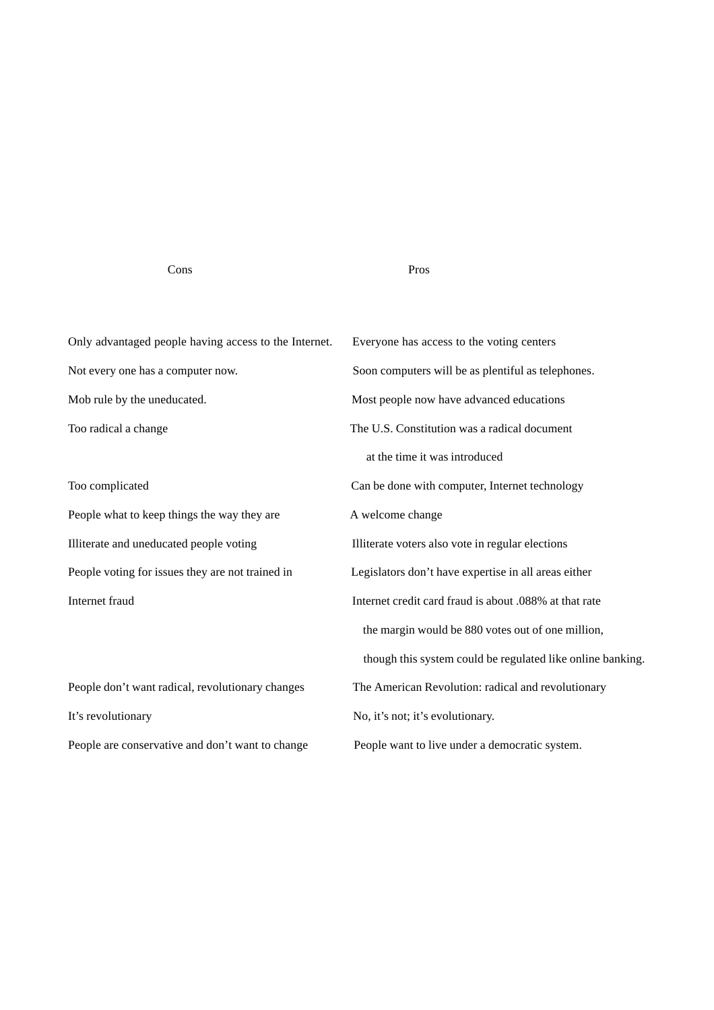## Cons Pros

Only advantaged people having access to the Internet. Everyone has access to the voting centers Not every one has a computer now. Soon computers will be as plentiful as telephones. Mob rule by the uneducated. Most people now have advanced educations Too radical a change The U.S. Constitution was a radical document

People what to keep things the way they are A welcome change Illiterate and uneducated people voting Illiterate voters also vote in regular elections

It's revolutionary No, it's not; it's evolutionary. People are conservative and don't want to change People want to live under a democratic system.

 at the time it was introduced Too complicated Can be done with computer, Internet technology People voting for issues they are not trained in Legislators don't have expertise in all areas either Internet fraud Internet credit card fraud is about .088% at that rate the margin would be 880 votes out of one million, though this system could be regulated like online banking. People don't want radical, revolutionary changes The American Revolution: radical and revolutionary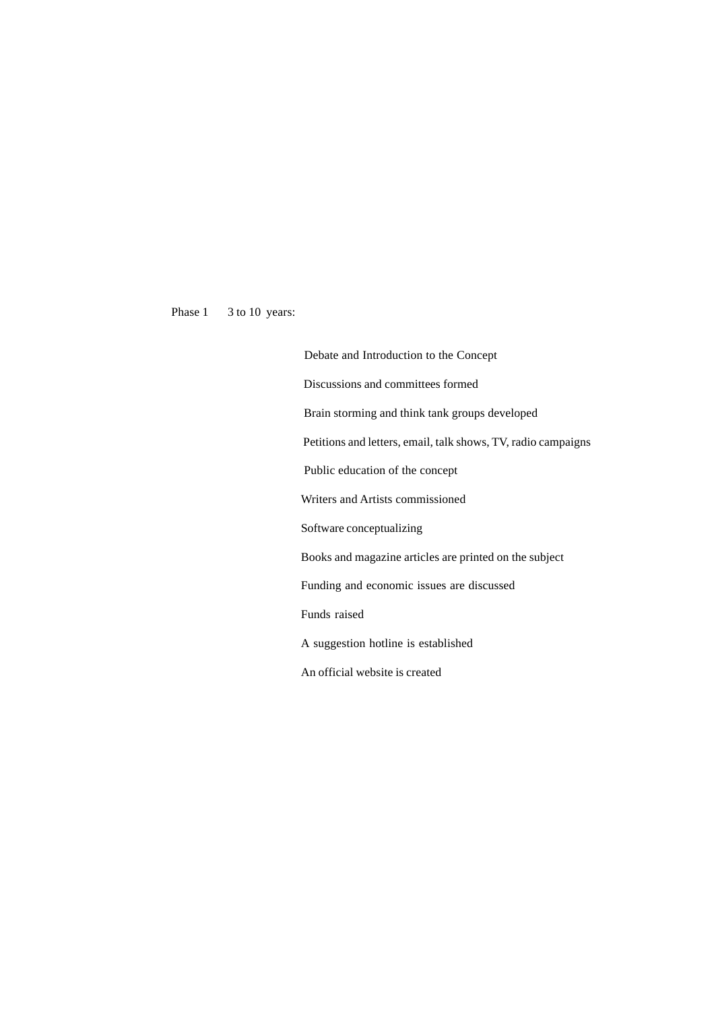Phase 1 3 to 10 years:

 Debate and Introduction to the Concept Discussions and committees formed Brain storming and think tank groups developed Petitions and letters, email, talk shows, TV, radio campaigns Public education of the concept Writers and Artists commissioned Software conceptualizing Books and magazine articles are printed on the subject Funding and economic issues are discussed Funds raised A suggestion hotline is established An official website is created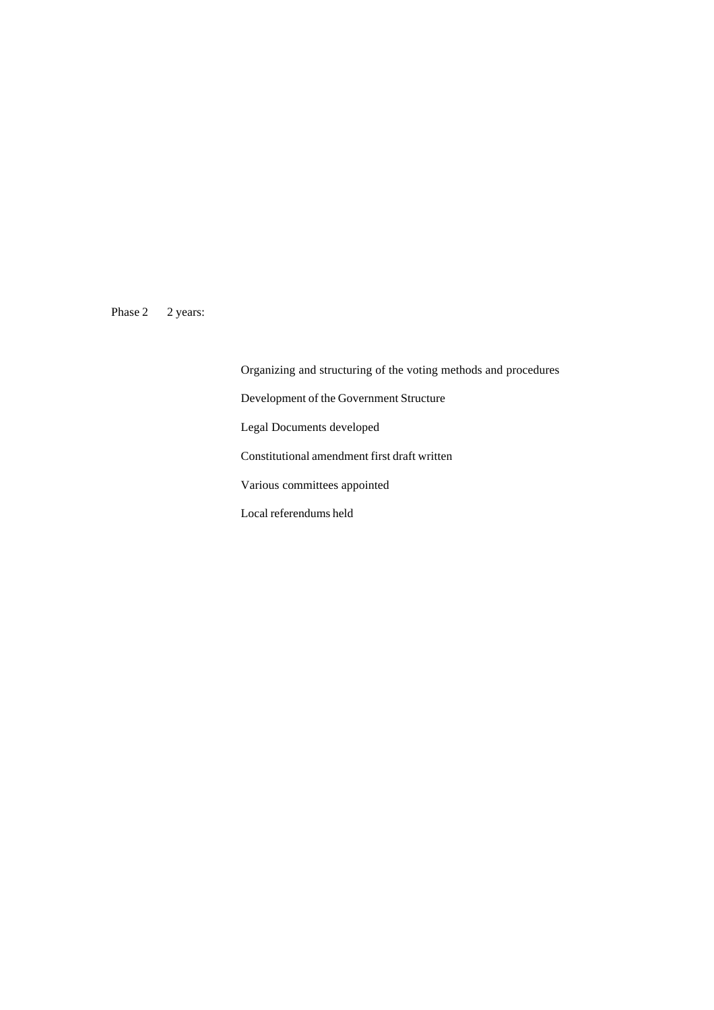Phase 2 2 years:

Organizing and structuring of the voting methods and procedures Development of the Government Structure Legal Documents developed Constitutional amendment first draft written Various committees appointed Local referendums held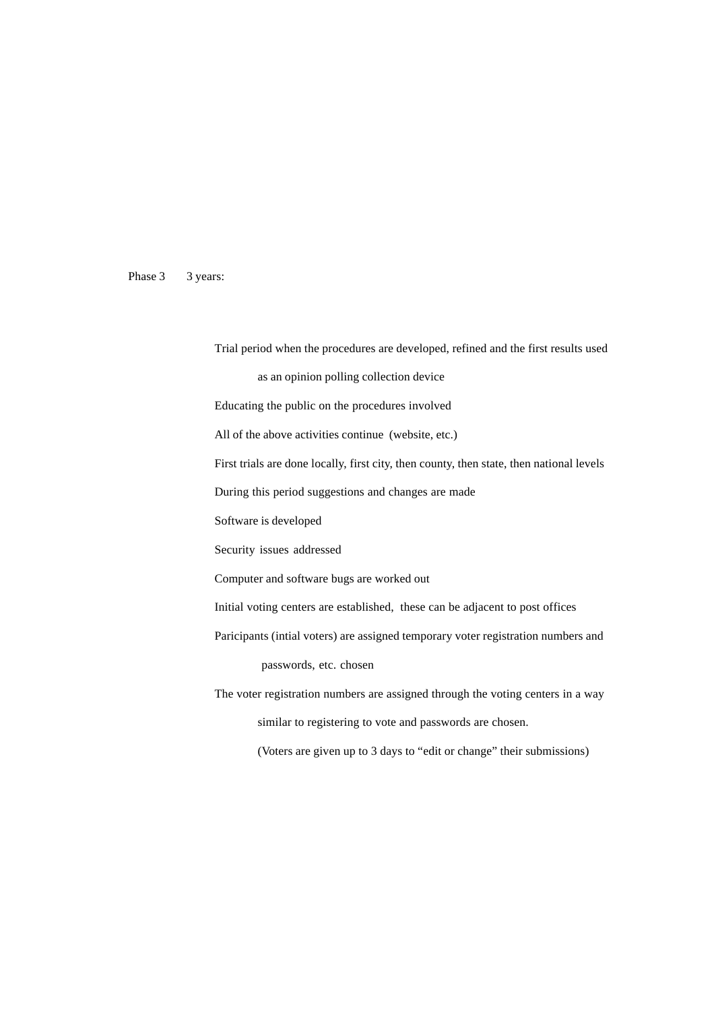Phase 3 3 years:

Trial period when the procedures are developed, refined and the first results used

as an opinion polling collection device

Educating the public on the procedures involved

All of the above activities continue (website, etc.)

First trials are done locally, first city, then county, then state, then national levels

During this period suggestions and changes are made

Software is developed

Security issues addressed

Computer and software bugs are worked out

Initial voting centers are established, these can be adjacent to post offices

Paricipants (intial voters) are assigned temporary voter registration numbers and passwords, etc. chosen

The voter registration numbers are assigned through the voting centers in a way similar to registering to vote and passwords are chosen.

(Voters are given up to 3 days to "edit or change" their submissions)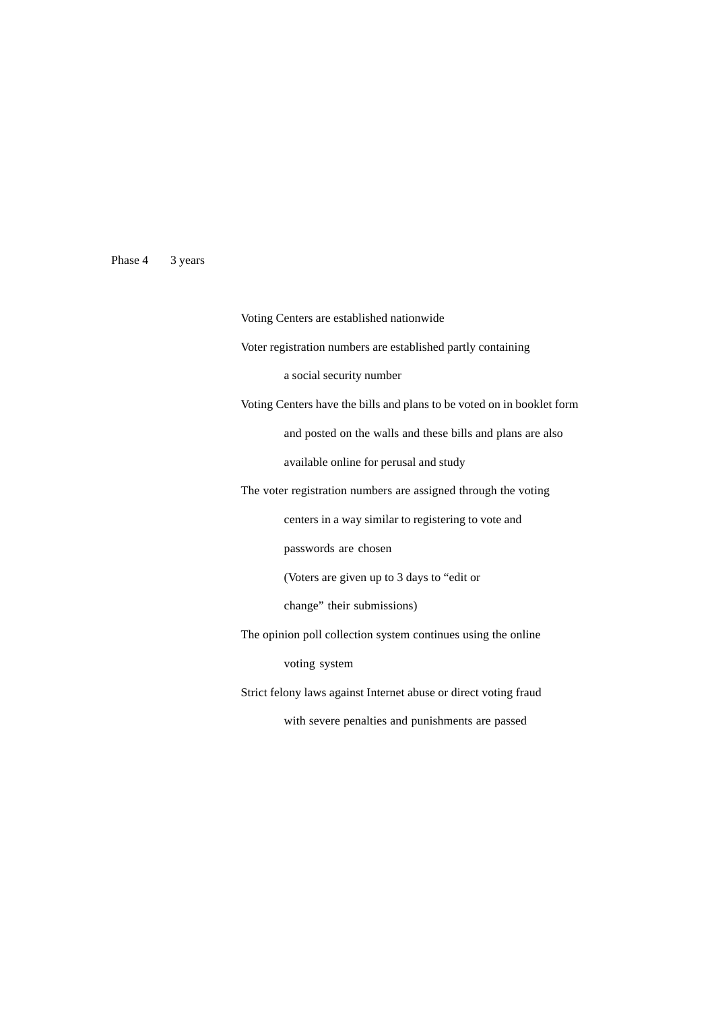# Phase 4 3 years

Voting Centers are established nationwide Voter registration numbers are established partly containing a social security number Voting Centers have the bills and plans to be voted on in booklet form and posted on the walls and these bills and plans are also available online for perusal and study The voter registration numbers are assigned through the voting centers in a way similar to registering to vote and passwords are chosen (Voters are given up to 3 days to "edit or change" their submissions) The opinion poll collection system continues using the online voting system Strict felony laws against Internet abuse or direct voting fraud with severe penalties and punishments are passed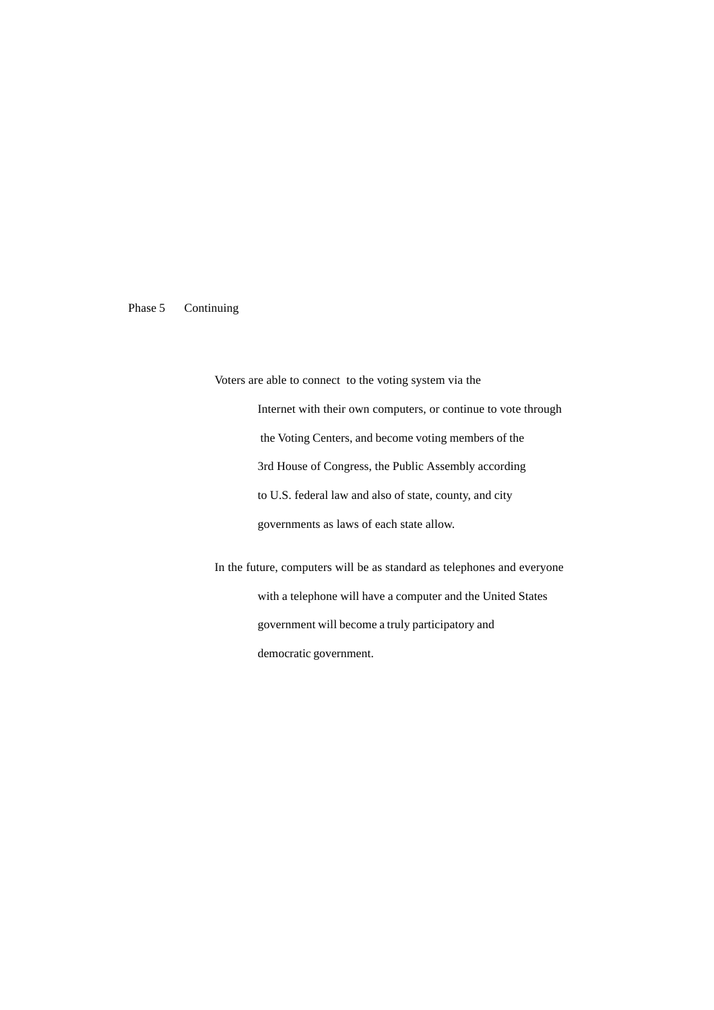# Phase 5 Continuing

Voters are able to connect to the voting system via the Internet with their own computers, or continue to vote through the Voting Centers, and become voting members of the 3rd House of Congress, the Public Assembly according to U.S. federal law and also of state, county, and city governments as laws of each state allow.

In the future, computers will be as standard as telephones and everyone with a telephone will have a computer and the United States government will become a truly participatory and democratic government.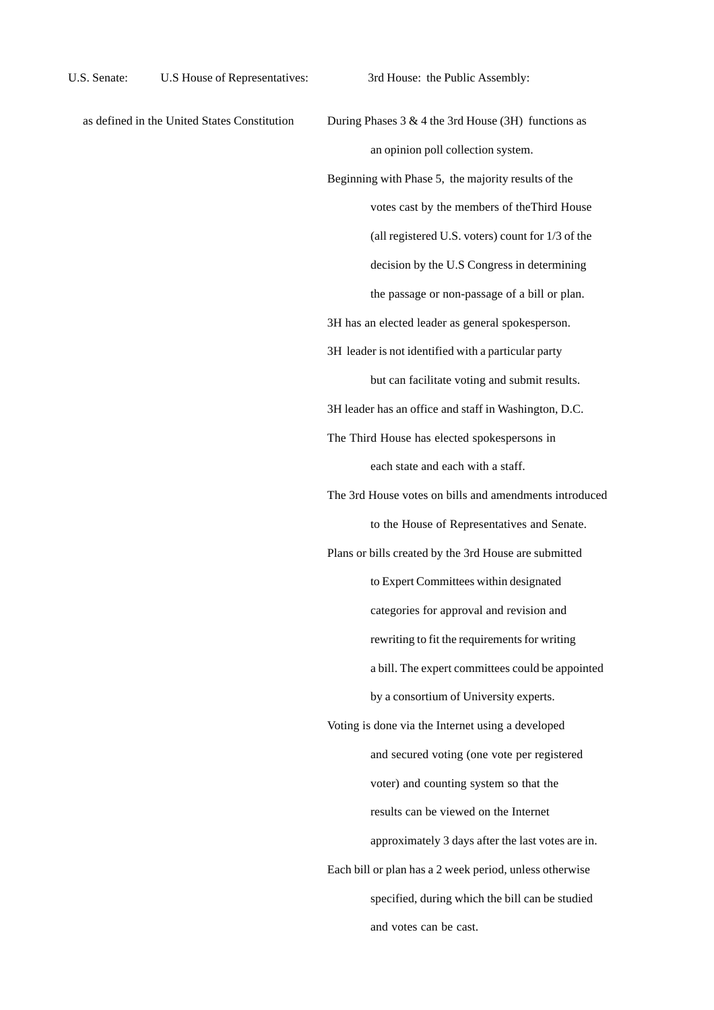- 
- as defined in the United States Constitution During Phases  $3 \& 4$  the 3rd House (3H) functions as an opinion poll collection system.
	- Beginning with Phase 5, the majority results of the votes cast by the members of theThird House (all registered U.S. voters) count for 1/3 of the decision by the U.S Congress in determining the passage or non-passage of a bill or plan.

3H has an elected leader as general spokesperson.

3H leader is not identified with a particular party

but can facilitate voting and submit results.

3H leader has an office and staff in Washington, D.C.

The Third House has elected spokespersons in each state and each with a staff.

The 3rd House votes on bills and amendments introduced to the House of Representatives and Senate.

Plans or bills created by the 3rd House are submitted

to Expert Committees within designated

categories for approval and revision and

rewriting to fit the requirements for writing

a bill. The expert committees could be appointed

by a consortium of University experts.

Voting is done via the Internet using a developed and secured voting (one vote per registered voter) and counting system so that the results can be viewed on the Internet approximately 3 days after the last votes are in. Each bill or plan has a 2 week period, unless otherwise specified, during which the bill can be studied and votes can be cast.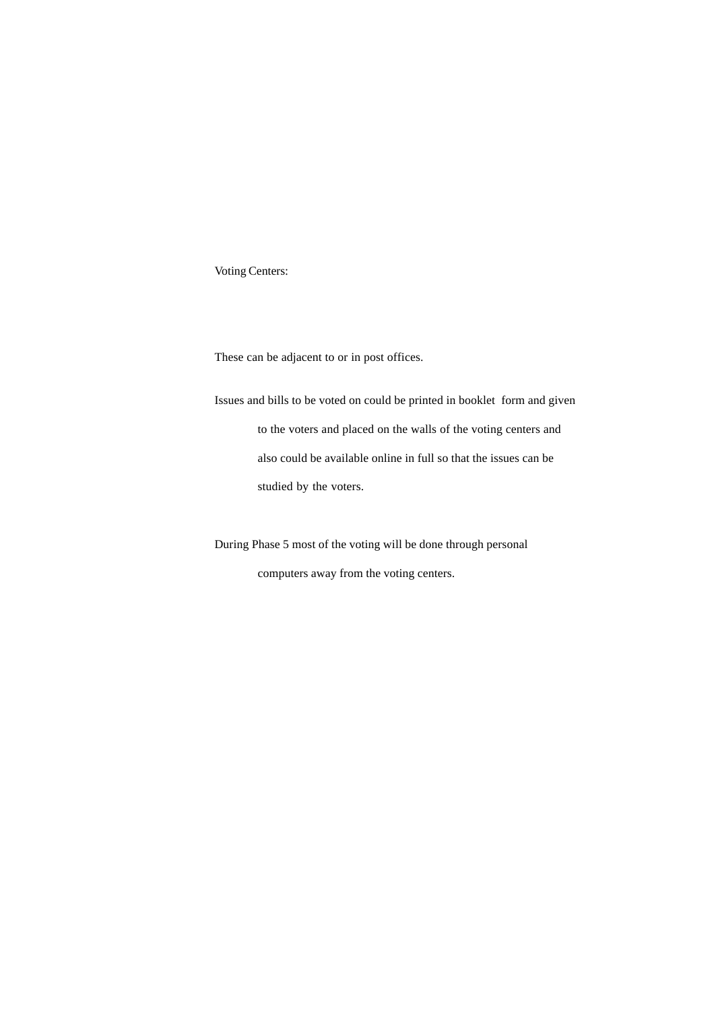Voting Centers:

These can be adjacent to or in post offices.

Issues and bills to be voted on could be printed in booklet form and given to the voters and placed on the walls of the voting centers and also could be available online in full so that the issues can be studied by the voters.

During Phase 5 most of the voting will be done through personal computers away from the voting centers.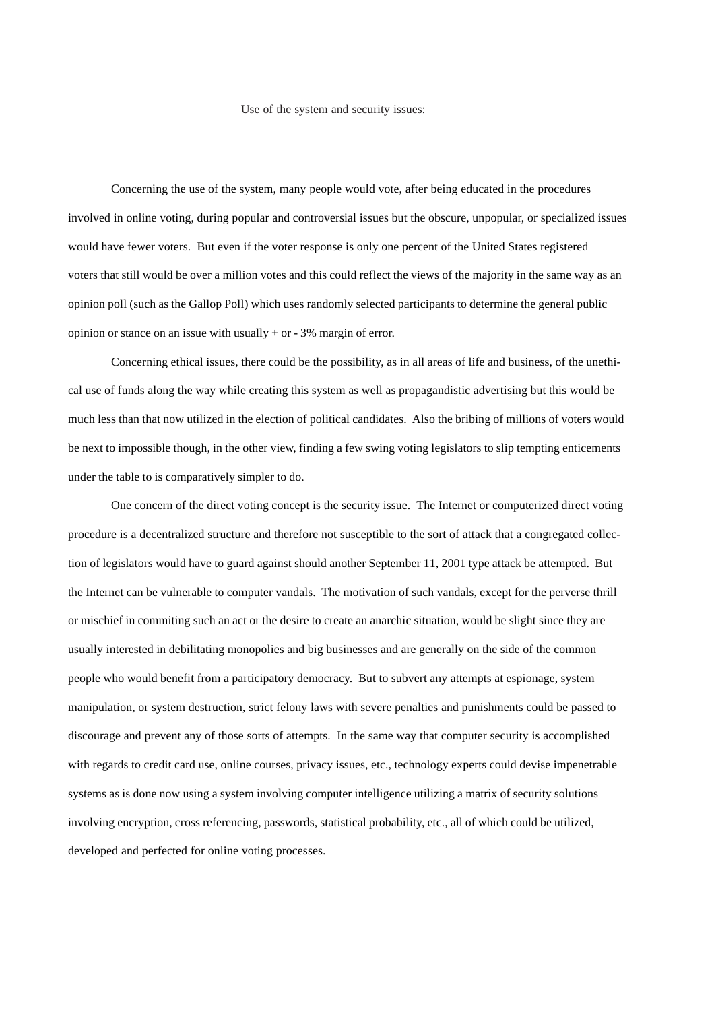### Use of the system and security issues:

Concerning the use of the system, many people would vote, after being educated in the procedures involved in online voting, during popular and controversial issues but the obscure, unpopular, or specialized issues would have fewer voters. But even if the voter response is only one percent of the United States registered voters that still would be over a million votes and this could reflect the views of the majority in the same way as an opinion poll (such as the Gallop Poll) which uses randomly selected participants to determine the general public opinion or stance on an issue with usually  $+$  or  $-3%$  margin of error.

Concerning ethical issues, there could be the possibility, as in all areas of life and business, of the unethical use of funds along the way while creating this system as well as propagandistic advertising but this would be much less than that now utilized in the election of political candidates. Also the bribing of millions of voters would be next to impossible though, in the other view, finding a few swing voting legislators to slip tempting enticements under the table to is comparatively simpler to do.

One concern of the direct voting concept is the security issue. The Internet or computerized direct voting procedure is a decentralized structure and therefore not susceptible to the sort of attack that a congregated collection of legislators would have to guard against should another September 11, 2001 type attack be attempted. But the Internet can be vulnerable to computer vandals. The motivation of such vandals, except for the perverse thrill or mischief in commiting such an act or the desire to create an anarchic situation, would be slight since they are usually interested in debilitating monopolies and big businesses and are generally on the side of the common people who would benefit from a participatory democracy. But to subvert any attempts at espionage, system manipulation, or system destruction, strict felony laws with severe penalties and punishments could be passed to discourage and prevent any of those sorts of attempts. In the same way that computer security is accomplished with regards to credit card use, online courses, privacy issues, etc., technology experts could devise impenetrable systems as is done now using a system involving computer intelligence utilizing a matrix of security solutions involving encryption, cross referencing, passwords, statistical probability, etc., all of which could be utilized, developed and perfected for online voting processes.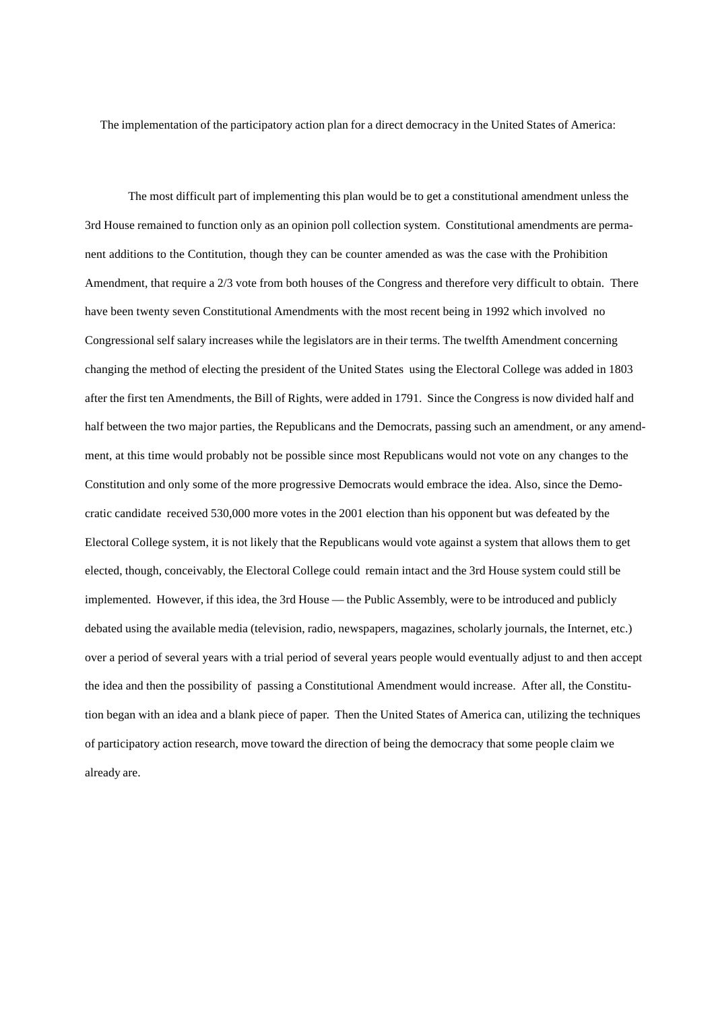The implementation of the participatory action plan for a direct democracy in the United States of America:

The most difficult part of implementing this plan would be to get a constitutional amendment unless the 3rd House remained to function only as an opinion poll collection system. Constitutional amendments are permanent additions to the Contitution, though they can be counter amended as was the case with the Prohibition Amendment, that require a 2/3 vote from both houses of the Congress and therefore very difficult to obtain. There have been twenty seven Constitutional Amendments with the most recent being in 1992 which involved no Congressional self salary increases while the legislators are in their terms. The twelfth Amendment concerning changing the method of electing the president of the United States using the Electoral College was added in 1803 after the first ten Amendments, the Bill of Rights, were added in 1791. Since the Congress is now divided half and half between the two major parties, the Republicans and the Democrats, passing such an amendment, or any amendment, at this time would probably not be possible since most Republicans would not vote on any changes to the Constitution and only some of the more progressive Democrats would embrace the idea. Also, since the Democratic candidate received 530,000 more votes in the 2001 election than his opponent but was defeated by the Electoral College system, it is not likely that the Republicans would vote against a system that allows them to get elected, though, conceivably, the Electoral College could remain intact and the 3rd House system could still be implemented. However, if this idea, the 3rd House — the Public Assembly, were to be introduced and publicly debated using the available media (television, radio, newspapers, magazines, scholarly journals, the Internet, etc.) over a period of several years with a trial period of several years people would eventually adjust to and then accept the idea and then the possibility of passing a Constitutional Amendment would increase. After all, the Constitution began with an idea and a blank piece of paper. Then the United States of America can, utilizing the techniques of participatory action research, move toward the direction of being the democracy that some people claim we already are.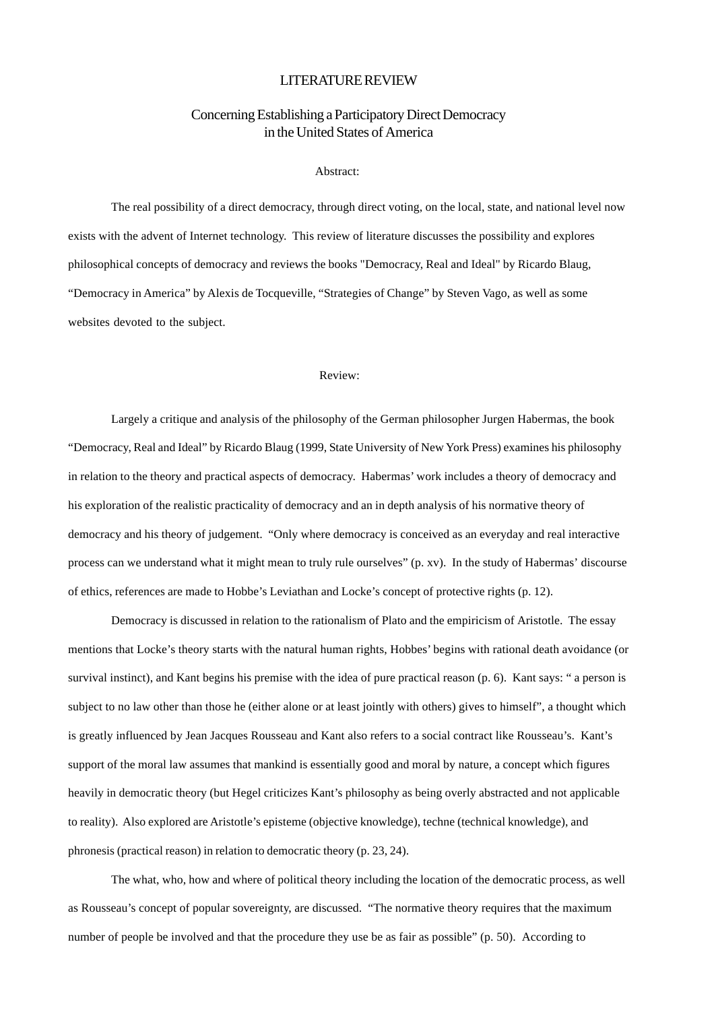## LITERATURE REVIEW

# Concerning Establishing a Participatory Direct Democracy in the United States of America

## Abstract:

The real possibility of a direct democracy, through direct voting, on the local, state, and national level now exists with the advent of Internet technology. This review of literature discusses the possibility and explores philosophical concepts of democracy and reviews the books "Democracy, Real and Ideal" by Ricardo Blaug, "Democracy in America" by Alexis de Tocqueville, "Strategies of Change" by Steven Vago, as well as some websites devoted to the subject.

## Review:

Largely a critique and analysis of the philosophy of the German philosopher Jurgen Habermas, the book "Democracy, Real and Ideal" by Ricardo Blaug (1999, State University of New York Press) examines his philosophy in relation to the theory and practical aspects of democracy. Habermas' work includes a theory of democracy and his exploration of the realistic practicality of democracy and an in depth analysis of his normative theory of democracy and his theory of judgement. "Only where democracy is conceived as an everyday and real interactive process can we understand what it might mean to truly rule ourselves" (p. xv). In the study of Habermas' discourse of ethics, references are made to Hobbe's Leviathan and Locke's concept of protective rights (p. 12).

Democracy is discussed in relation to the rationalism of Plato and the empiricism of Aristotle. The essay mentions that Locke's theory starts with the natural human rights, Hobbes' begins with rational death avoidance (or survival instinct), and Kant begins his premise with the idea of pure practical reason (p. 6). Kant says: " a person is subject to no law other than those he (either alone or at least jointly with others) gives to himself", a thought which is greatly influenced by Jean Jacques Rousseau and Kant also refers to a social contract like Rousseau's. Kant's support of the moral law assumes that mankind is essentially good and moral by nature, a concept which figures heavily in democratic theory (but Hegel criticizes Kant's philosophy as being overly abstracted and not applicable to reality). Also explored are Aristotle's episteme (objective knowledge), techne (technical knowledge), and phronesis (practical reason) in relation to democratic theory (p. 23, 24).

The what, who, how and where of political theory including the location of the democratic process, as well as Rousseau's concept of popular sovereignty, are discussed. "The normative theory requires that the maximum number of people be involved and that the procedure they use be as fair as possible" (p. 50). According to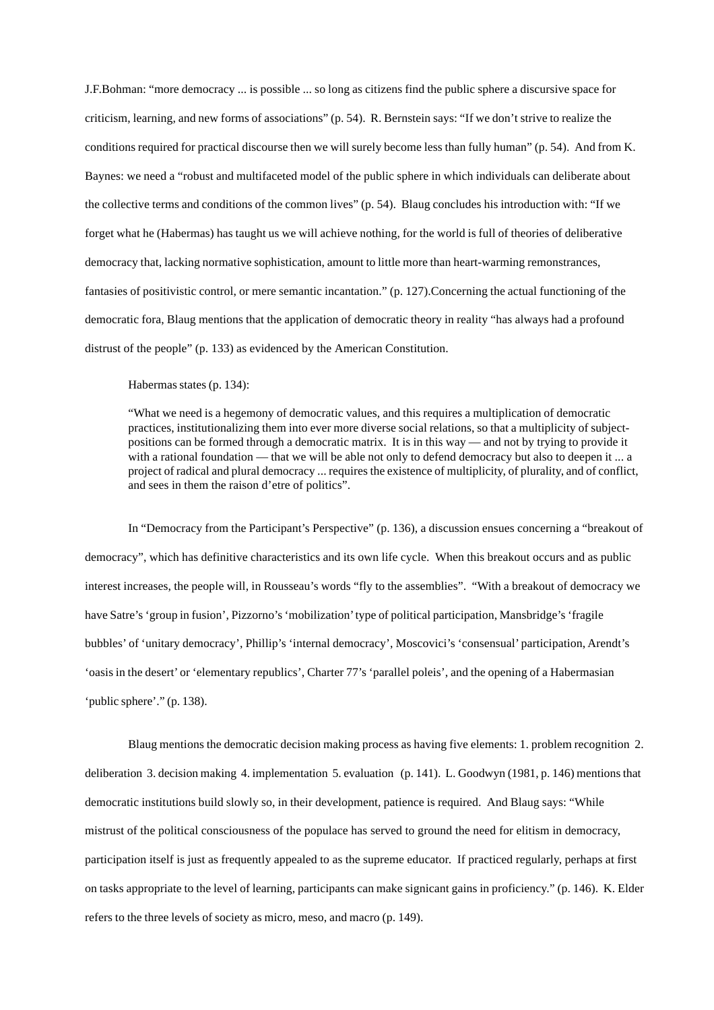J.F.Bohman: "more democracy ... is possible ... so long as citizens find the public sphere a discursive space for criticism, learning, and new forms of associations" (p. 54). R. Bernstein says: "If we don't strive to realize the conditions required for practical discourse then we will surely become less than fully human" (p. 54). And from K. Baynes: we need a "robust and multifaceted model of the public sphere in which individuals can deliberate about the collective terms and conditions of the common lives" (p. 54). Blaug concludes his introduction with: "If we forget what he (Habermas) has taught us we will achieve nothing, for the world is full of theories of deliberative democracy that, lacking normative sophistication, amount to little more than heart-warming remonstrances, fantasies of positivistic control, or mere semantic incantation." (p. 127).Concerning the actual functioning of the democratic fora, Blaug mentions that the application of democratic theory in reality "has always had a profound distrust of the people" (p. 133) as evidenced by the American Constitution.

Habermas states (p. 134):

"What we need is a hegemony of democratic values, and this requires a multiplication of democratic practices, institutionalizing them into ever more diverse social relations, so that a multiplicity of subjectpositions can be formed through a democratic matrix. It is in this way — and not by trying to provide it with a rational foundation — that we will be able not only to defend democracy but also to deepen it ... a project of radical and plural democracy ... requires the existence of multiplicity, of plurality, and of conflict, and sees in them the raison d'etre of politics".

In "Democracy from the Participant's Perspective" (p. 136), a discussion ensues concerning a "breakout of democracy", which has definitive characteristics and its own life cycle. When this breakout occurs and as public interest increases, the people will, in Rousseau's words "fly to the assemblies". "With a breakout of democracy we have Satre's 'group in fusion', Pizzorno's 'mobilization' type of political participation, Mansbridge's 'fragile bubbles' of 'unitary democracy', Phillip's 'internal democracy', Moscovici's 'consensual' participation, Arendt's 'oasis in the desert' or 'elementary republics', Charter 77's 'parallel poleis', and the opening of a Habermasian 'public sphere'." (p. 138).

Blaug mentions the democratic decision making process as having five elements: 1. problem recognition 2. deliberation 3. decision making 4. implementation 5. evaluation (p. 141). L. Goodwyn (1981, p. 146) mentions that democratic institutions build slowly so, in their development, patience is required. And Blaug says: "While mistrust of the political consciousness of the populace has served to ground the need for elitism in democracy, participation itself is just as frequently appealed to as the supreme educator. If practiced regularly, perhaps at first on tasks appropriate to the level of learning, participants can make signicant gains in proficiency." (p. 146). K. Elder refers to the three levels of society as micro, meso, and macro (p. 149).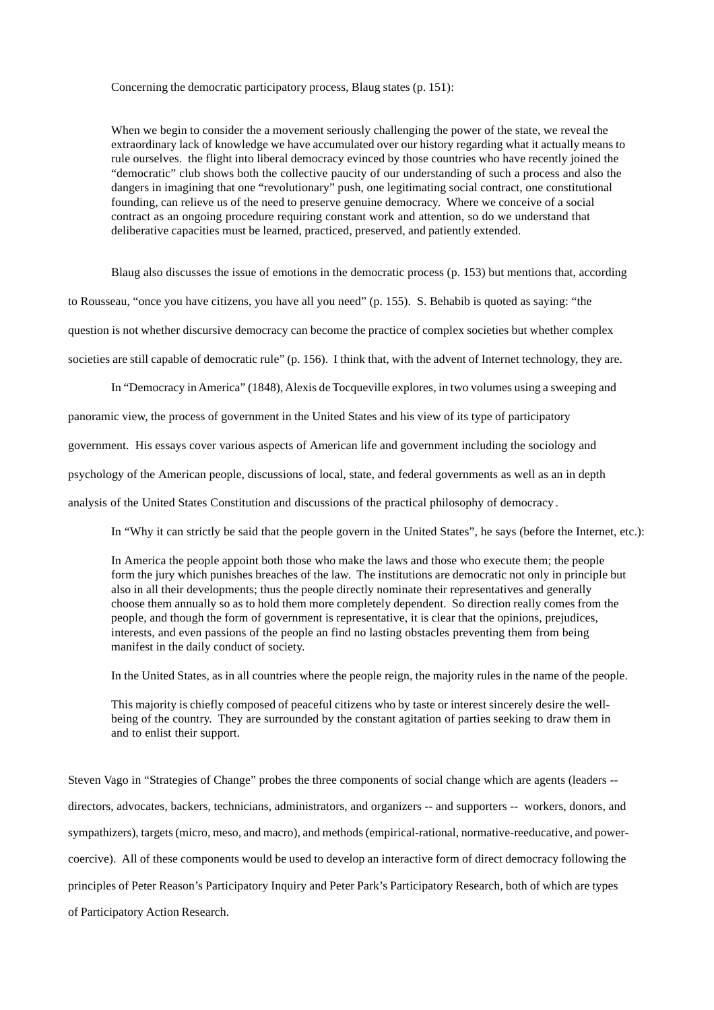## Concerning the democratic participatory process, Blaug states (p. 151):

When we begin to consider the a movement seriously challenging the power of the state, we reveal the extraordinary lack of knowledge we have accumulated over our history regarding what it actually means to rule ourselves. the flight into liberal democracy evinced by those countries who have recently joined the "democratic" club shows both the collective paucity of our understanding of such a process and also the dangers in imagining that one "revolutionary" push, one legitimating social contract, one constitutional founding, can relieve us of the need to preserve genuine democracy. Where we conceive of a social contract as an ongoing procedure requiring constant work and attention, so do we understand that deliberative capacities must be learned, practiced, preserved, and patiently extended.

Blaug also discusses the issue of emotions in the democratic process (p. 153) but mentions that, according

to Rousseau, "once you have citizens, you have all you need" (p. 155). S. Behabib is quoted as saying: "the

question is not whether discursive democracy can become the practice of complex societies but whether complex

societies are still capable of democratic rule" (p. 156). I think that, with the advent of Internet technology, they are.

In "Democracy in America" (1848), Alexis de Tocqueville explores, in two volumes using a sweeping and

panoramic view, the process of government in the United States and his view of its type of participatory

government. His essays cover various aspects of American life and government including the sociology and

psychology of the American people, discussions of local, state, and federal governments as well as an in depth

analysis of the United States Constitution and discussions of the practical philosophy of democracy .

In "Why it can strictly be said that the people govern in the United States", he says (before the Internet, etc.):

In America the people appoint both those who make the laws and those who execute them; the people form the jury which punishes breaches of the law. The institutions are democratic not only in principle but also in all their developments; thus the people directly nominate their representatives and generally choose them annually so as to hold them more completely dependent. So direction really comes from the people, and though the form of government is representative, it is clear that the opinions, prejudices, interests, and even passions of the people an find no lasting obstacles preventing them from being manifest in the daily conduct of society.

In the United States, as in all countries where the people reign, the majority rules in the name of the people.

This majority is chiefly composed of peaceful citizens who by taste or interest sincerely desire the wellbeing of the country. They are surrounded by the constant agitation of parties seeking to draw them in and to enlist their support.

Steven Vago in "Strategies of Change" probes the three components of social change which are agents (leaders - directors, advocates, backers, technicians, administrators, and organizers -- and supporters -- workers, donors, and sympathizers), targets (micro, meso, and macro), and methods (empirical-rational, normative-reeducative, and powercoercive). All of these components would be used to develop an interactive form of direct democracy following the principles of Peter Reason's Participatory Inquiry and Peter Park's Participatory Research, both of which are types of Participatory Action Research.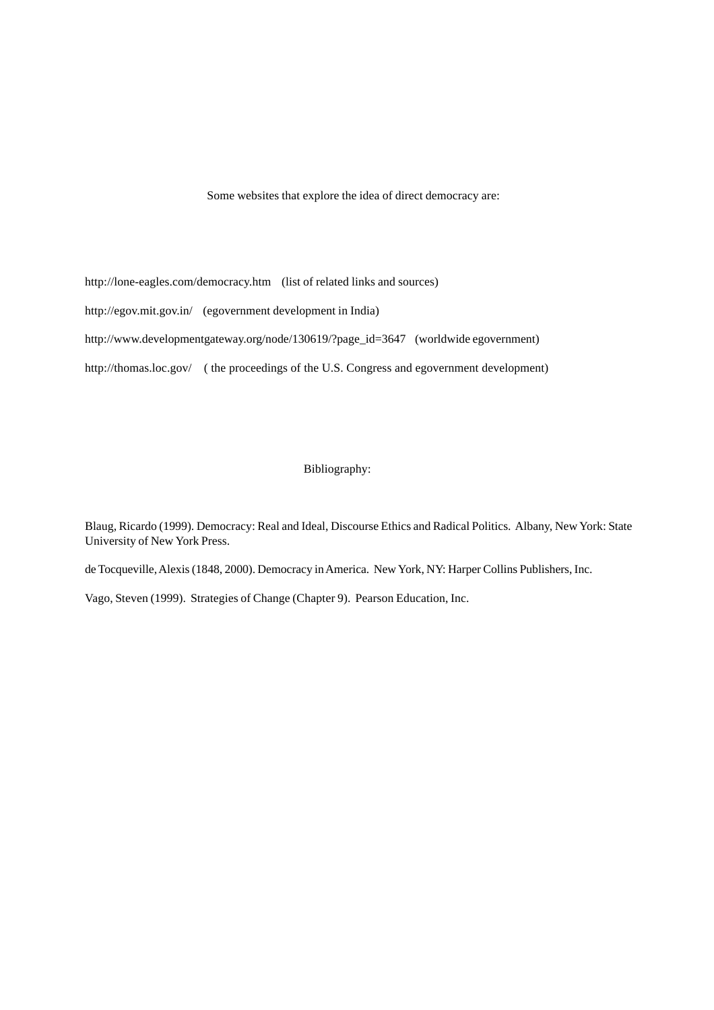Some websites that explore the idea of direct democracy are:

http://lone-eagles.com/democracy.htm (list of related links and sources) http://egov.mit.gov.in/ (egovernment development in India) http://www.developmentgateway.org/node/130619/?page\_id=3647 (worldwide egovernment) http://thomas.loc.gov/ ( the proceedings of the U.S. Congress and egovernment development)

# Bibliography:

Blaug, Ricardo (1999). Democracy: Real and Ideal, Discourse Ethics and Radical Politics. Albany, New York: State University of New York Press.

de Tocqueville, Alexis (1848, 2000). Democracy in America. New York, NY: Harper Collins Publishers, Inc.

Vago, Steven (1999). Strategies of Change (Chapter 9). Pearson Education, Inc.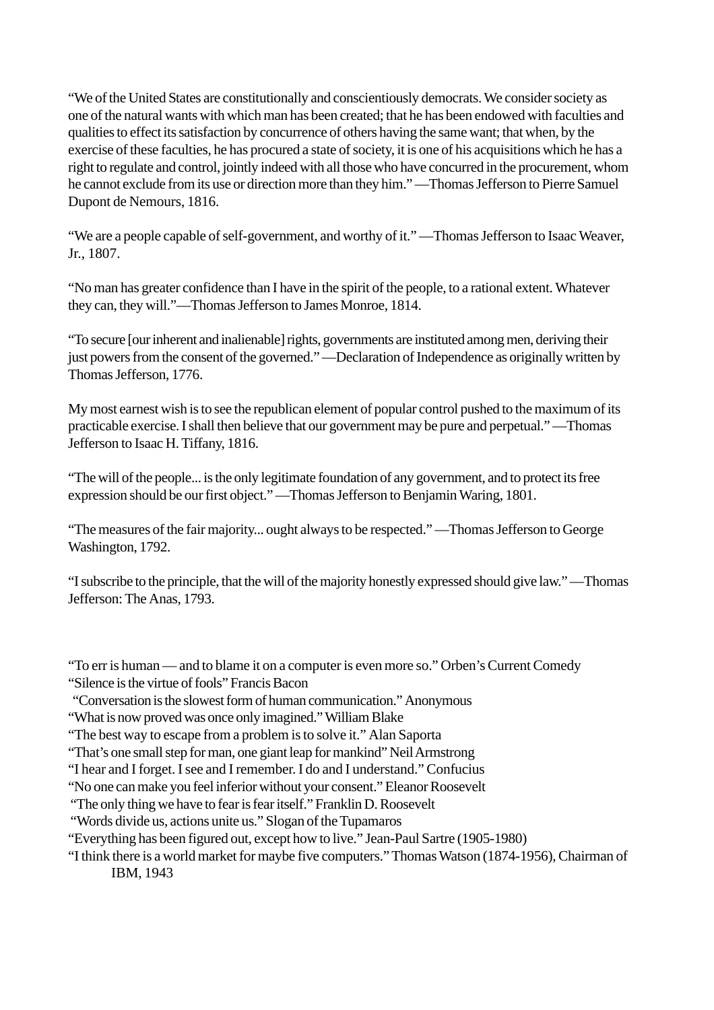"We of the United States are constitutionally and conscientiously democrats. We consider society as one of the natural wants with which man has been created; that he has been endowed with faculties and qualities to effect its satisfaction by concurrence of others having the same want; that when, by the exercise of these faculties, he has procured a state of society, it is one of his acquisitions which he has a right to regulate and control, jointly indeed with all those who have concurred in the procurement, whom he cannot exclude from its use or direction more than they him." —Thomas Jefferson to Pierre Samuel Dupont de Nemours, 1816.

"We are a people capable of self-government, and worthy of it." —Thomas Jefferson to Isaac Weaver, Jr., 1807.

"No man has greater confidence than I have in the spirit of the people, to a rational extent. Whatever they can, they will."—Thomas Jefferson to James Monroe, 1814.

"To secure [our inherent and inalienable] rights, governments are instituted among men, deriving their just powers from the consent of the governed." —Declaration of Independence as originally written by Thomas Jefferson, 1776.

My most earnest wish is to see the republican element of popular control pushed to the maximum of its practicable exercise. I shall then believe that our government may be pure and perpetual." —Thomas Jefferson to Isaac H. Tiffany, 1816.

"The will of the people... is the only legitimate foundation of any government, and to protect its free expression should be our first object." —Thomas Jefferson to Benjamin Waring, 1801.

"The measures of the fair majority... ought always to be respected." —Thomas Jefferson to George Washington, 1792.

"I subscribe to the principle, that the will of the majority honestly expressed should give law." —Thomas Jefferson: The Anas, 1793.

"To err is human — and to blame it on a computer is even more so." Orben's Current Comedy "Silence is the virtue of fools" Francis Bacon

- "Conversation is the slowest form of human communication." Anonymous
- "What is now proved was once only imagined." William Blake
- "The best way to escape from a problem is to solve it." Alan Saporta

"That's one small step for man, one giant leap for mankind" Neil Armstrong

"I hear and I forget. I see and I remember. I do and I understand." Confucius

"No one can make you feel inferior without your consent." Eleanor Roosevelt

"The only thing we have to fear is fear itself." Franklin D. Roosevelt

"Words divide us, actions unite us." Slogan of the Tupamaros

"Everything has been figured out, except how to live." Jean-Paul Sartre (1905-1980)

"I think there is a world market for maybe five computers." Thomas Watson (1874-1956), Chairman of IBM, 1943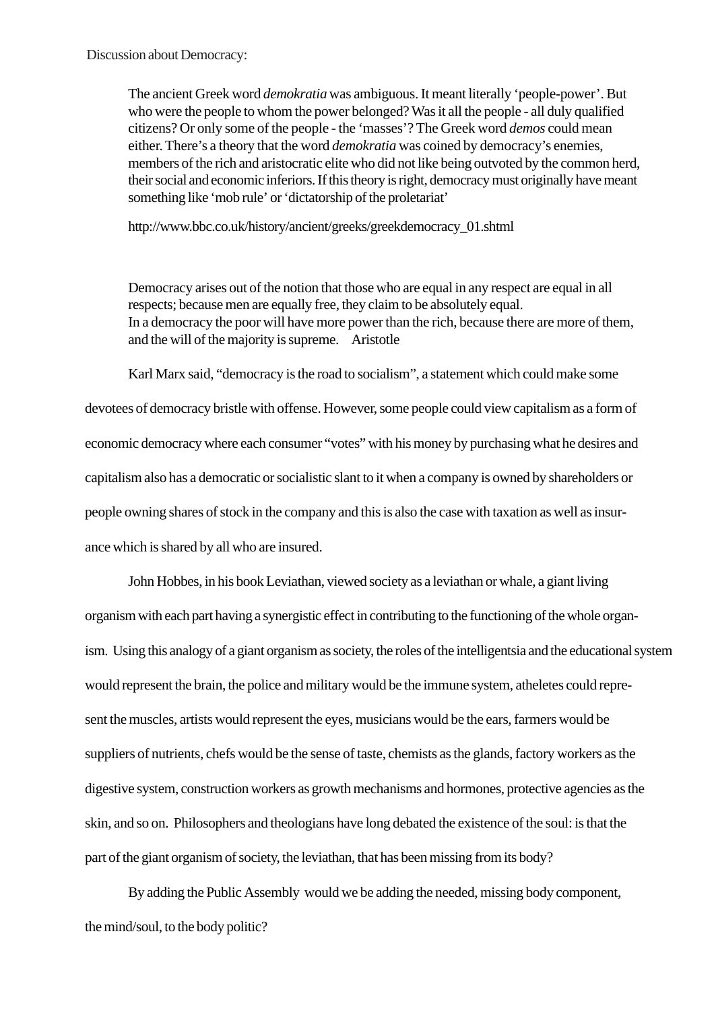Discussion about Democracy:

The ancient Greek word *demokratia* was ambiguous. It meant literally 'people-power'. But who were the people to whom the power belonged? Was it all the people - all duly qualified citizens? Or only some of the people - the 'masses'? The Greek word *demos* could mean either. There's a theory that the word *demokratia* was coined by democracy's enemies, members of the rich and aristocratic elite who did not like being outvoted by the common herd, their social and economic inferiors. If this theory is right, democracy must originally have meant something like 'mob rule' or 'dictatorship of the proletariat'

http://www.bbc.co.uk/history/ancient/greeks/greekdemocracy\_01.shtml

Democracy arises out of the notion that those who are equal in any respect are equal in all respects; because men are equally free, they claim to be absolutely equal. In a democracy the poor will have more power than the rich, because there are more of them, and the will of the majority is supreme. Aristotle

Karl Marx said, "democracy is the road to socialism", a statement which could make some

devotees of democracy bristle with offense. However, some people could view capitalism as a form of economic democracy where each consumer "votes" with his money by purchasing what he desires and capitalism also has a democratic or socialistic slant to it when a company is owned by shareholders or people owning shares of stock in the company and this is also the case with taxation as well as insurance which is shared by all who are insured.

John Hobbes, in his book Leviathan, viewed society as a leviathan or whale, a giant living organism with each part having a synergistic effect in contributing to the functioning of the whole organism. Using this analogy of a giant organism as society, the roles of the intelligentsia and the educational system would represent the brain, the police and military would be the immune system, atheletes could represent the muscles, artists would represent the eyes, musicians would be the ears, farmers would be suppliers of nutrients, chefs would be the sense of taste, chemists as the glands, factory workers as the digestive system, construction workers as growth mechanisms and hormones, protective agencies as the skin, and so on. Philosophers and theologians have long debated the existence of the soul: is that the part of the giant organism of society, the leviathan, that has been missing from its body?

By adding the Public Assembly would we be adding the needed, missing body component, the mind/soul, to the body politic?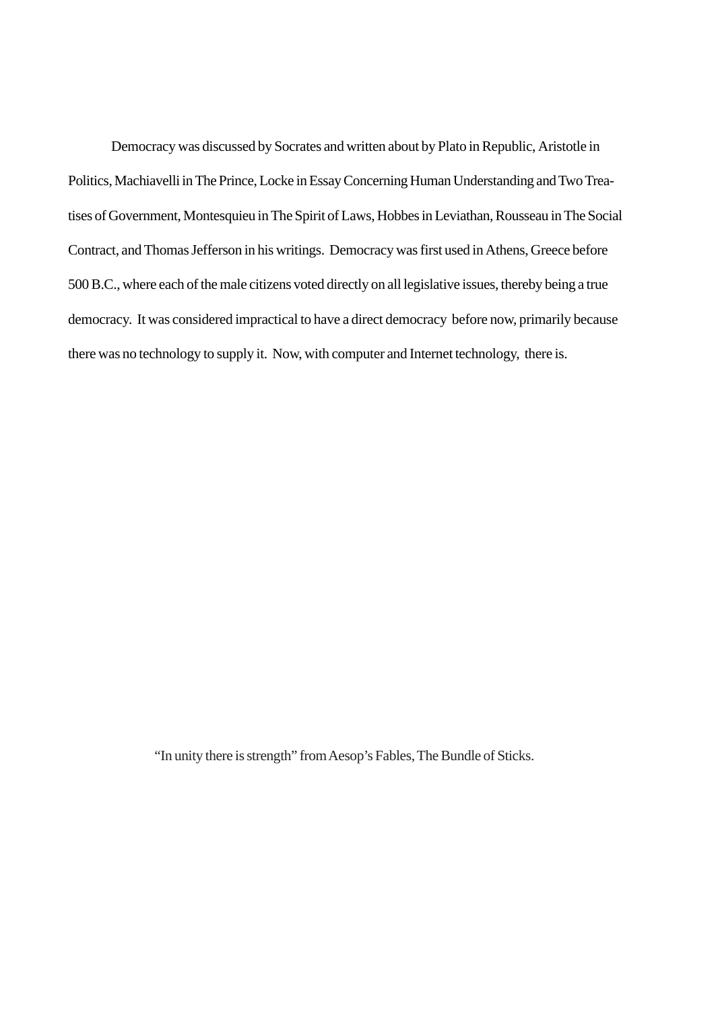Democracy was discussed by Socrates and written about by Plato in Republic, Aristotle in Politics, Machiavelli in The Prince, Locke in Essay Concerning Human Understanding and Two Treatises of Government, Montesquieu in The Spirit of Laws, Hobbes in Leviathan, Rousseau in The Social Contract, and Thomas Jefferson in his writings. Democracy was first used in Athens, Greece before 500 B.C., where each of the male citizens voted directly on all legislative issues, thereby being a true democracy. It was considered impractical to have a direct democracy before now, primarily because there was no technology to supply it. Now, with computer and Internet technology, there is.

"In unity there is strength" from Aesop's Fables, The Bundle of Sticks.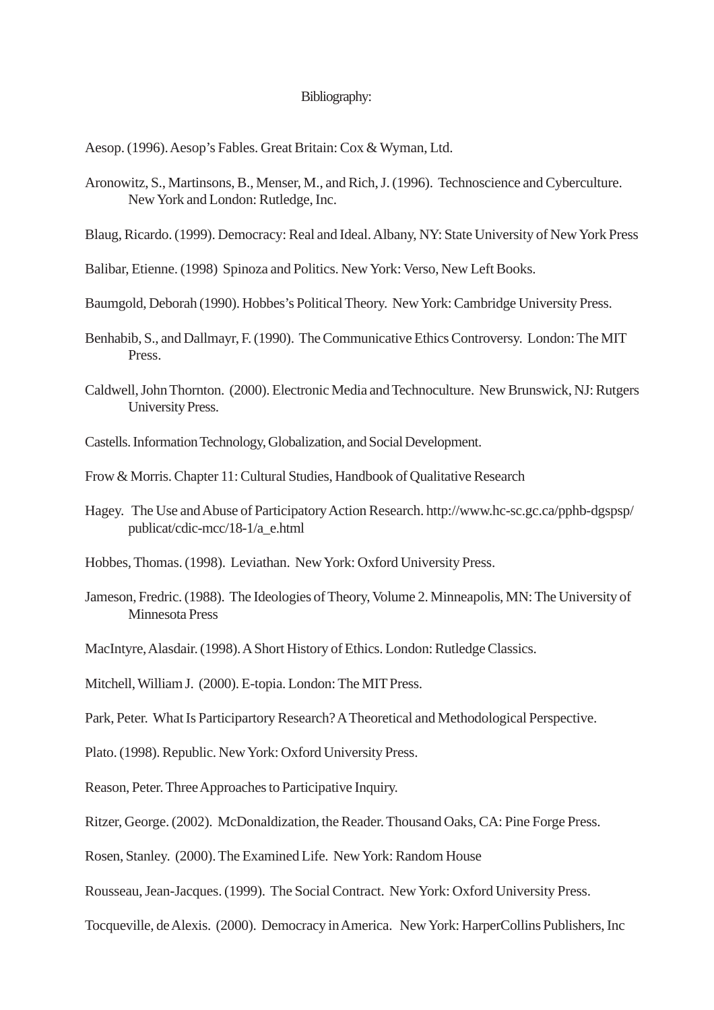## Bibliography:

Aesop. (1996). Aesop's Fables. Great Britain: Cox & Wyman, Ltd.

- Aronowitz, S., Martinsons, B., Menser, M., and Rich, J. (1996). Technoscience and Cyberculture. New York and London: Rutledge, Inc.
- Blaug, Ricardo. (1999). Democracy: Real and Ideal. Albany, NY: State University of New York Press
- Balibar, Etienne. (1998) Spinoza and Politics. New York: Verso, New Left Books.
- Baumgold, Deborah (1990). Hobbes's Political Theory. New York: Cambridge University Press.
- Benhabib, S., and Dallmayr, F. (1990). The Communicative Ethics Controversy. London: The MIT Press.
- Caldwell, John Thornton. (2000). Electronic Media and Technoculture. New Brunswick, NJ: Rutgers University Press.
- Castells. Information Technology, Globalization, and Social Development.
- Frow & Morris. Chapter 11: Cultural Studies, Handbook of Qualitative Research
- Hagey. The Use and Abuse of Participatory Action Research. http://www.hc-sc.gc.ca/pphb-dgspsp/ publicat/cdic-mcc/18-1/a\_e.html
- Hobbes, Thomas. (1998). Leviathan. New York: Oxford University Press.
- Jameson, Fredric. (1988). The Ideologies of Theory, Volume 2. Minneapolis, MN: The University of Minnesota Press
- MacIntyre, Alasdair. (1998). A Short History of Ethics. London: Rutledge Classics.
- Mitchell, William J. (2000). E-topia. London: The MIT Press.
- Park, Peter. What Is Participartory Research? A Theoretical and Methodological Perspective.
- Plato. (1998). Republic. New York: Oxford University Press.
- Reason, Peter. Three Approaches to Participative Inquiry.
- Ritzer, George. (2002). McDonaldization, the Reader. Thousand Oaks, CA: Pine Forge Press.
- Rosen, Stanley. (2000). The Examined Life. New York: Random House
- Rousseau, Jean-Jacques. (1999). The Social Contract. New York: Oxford University Press.
- Tocqueville, de Alexis. (2000). Democracy in America. New York: HarperCollins Publishers, Inc